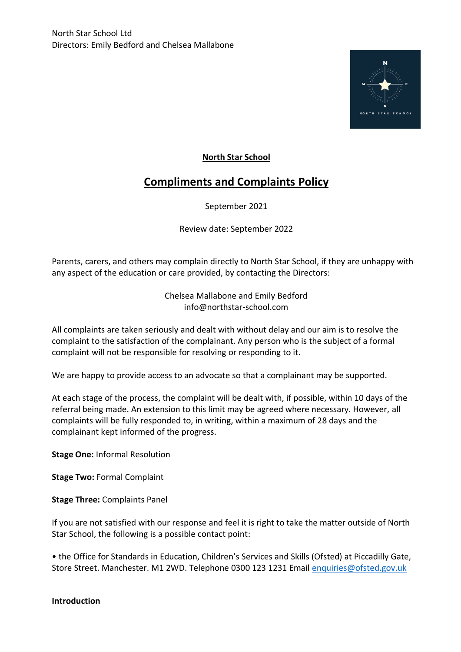

# **North Star School**

# **Compliments and Complaints Policy**

September 2021

Review date: September 2022

Parents, carers, and others may complain directly to North Star School, if they are unhappy with any aspect of the education or care provided, by contacting the Directors:

> Chelsea Mallabone and Emily Bedford info@northstar-school.com

All complaints are taken seriously and dealt with without delay and our aim is to resolve the complaint to the satisfaction of the complainant. Any person who is the subject of a formal complaint will not be responsible for resolving or responding to it.

We are happy to provide access to an advocate so that a complainant may be supported.

At each stage of the process, the complaint will be dealt with, if possible, within 10 days of the referral being made. An extension to this limit may be agreed where necessary. However, all complaints will be fully responded to, in writing, within a maximum of 28 days and the complainant kept informed of the progress.

**Stage One:** Informal Resolution

**Stage Two:** Formal Complaint

**Stage Three:** Complaints Panel

If you are not satisfied with our response and feel it is right to take the matter outside of North Star School, the following is a possible contact point:

• the Office for Standards in Education, Children's Services and Skills (Ofsted) at Piccadilly Gate, Store Street. Manchester. M1 2WD. Telephone 0300 123 1231 Email [enquiries@ofsted.gov.uk](mailto:enquiries@ofsted.gov.uk)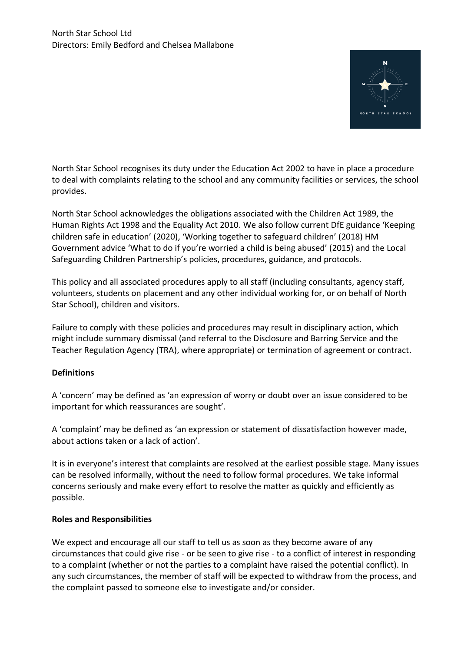

North Star School recognises its duty under the Education Act 2002 to have in place a procedure to deal with complaints relating to the school and any community facilities or services, the school provides.

North Star School acknowledges the obligations associated with the Children Act 1989, the Human Rights Act 1998 and the Equality Act 2010. We also follow current DfE guidance 'Keeping children safe in education' (2020), 'Working together to safeguard children' (2018) HM Government advice 'What to do if you're worried a child is being abused' (2015) and the Local Safeguarding Children Partnership's policies, procedures, guidance, and protocols.

This policy and all associated procedures apply to all staff (including consultants, agency staff, volunteers, students on placement and any other individual working for, or on behalf of North Star School), children and visitors.

Failure to comply with these policies and procedures may result in disciplinary action, which might include summary dismissal (and referral to the Disclosure and Barring Service and the Teacher Regulation Agency (TRA), where appropriate) or termination of agreement or contract.

## **Definitions**

A 'concern' may be defined as 'an expression of worry or doubt over an issue considered to be important for which reassurances are sought'.

A 'complaint' may be defined as 'an expression or statement of dissatisfaction however made, about actions taken or a lack of action'.

It is in everyone's interest that complaints are resolved at the earliest possible stage. Many issues can be resolved informally, without the need to follow formal procedures. We take informal concerns seriously and make every effort to resolve the matter as quickly and efficiently as possible.

#### **Roles and Responsibilities**

We expect and encourage all our staff to tell us as soon as they become aware of any circumstances that could give rise - or be seen to give rise - to a conflict of interest in responding to a complaint (whether or not the parties to a complaint have raised the potential conflict). In any such circumstances, the member of staff will be expected to withdraw from the process, and the complaint passed to someone else to investigate and/or consider.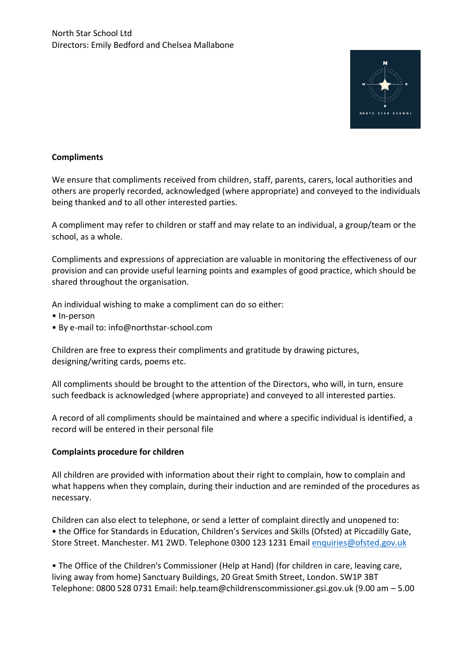

## **Compliments**

We ensure that compliments received from children, staff, parents, carers, local authorities and others are properly recorded, acknowledged (where appropriate) and conveyed to the individuals being thanked and to all other interested parties.

A compliment may refer to children or staff and may relate to an individual, a group/team or the school, as a whole.

Compliments and expressions of appreciation are valuable in monitoring the effectiveness of our provision and can provide useful learning points and examples of good practice, which should be shared throughout the organisation.

An individual wishing to make a compliment can do so either:

- In-person
- By e-mail to: info@northstar-school.com

Children are free to express their compliments and gratitude by drawing pictures, designing/writing cards, poems etc.

All compliments should be brought to the attention of the Directors, who will, in turn, ensure such feedback is acknowledged (where appropriate) and conveyed to all interested parties.

A record of all compliments should be maintained and where a specific individual is identified, a record will be entered in their personal file

#### **Complaints procedure for children**

All children are provided with information about their right to complain, how to complain and what happens when they complain, during their induction and are reminded of the procedures as necessary.

Children can also elect to telephone, or send a letter of complaint directly and unopened to: • the Office for Standards in Education, Children's Services and Skills (Ofsted) at Piccadilly Gate, Store Street. Manchester. M1 2WD. Telephone 0300 123 1231 Email [enquiries@ofsted.gov.uk](mailto:enquiries@ofsted.gov.uk)

• The Office of the Children's Commissioner (Help at Hand) (for children in care, leaving care, living away from home) Sanctuary Buildings, 20 Great Smith Street, London. SW1P 3BT Telephone: 0800 528 0731 Email: help.team@childrenscommissioner.gsi.gov.uk (9.00 am – 5.00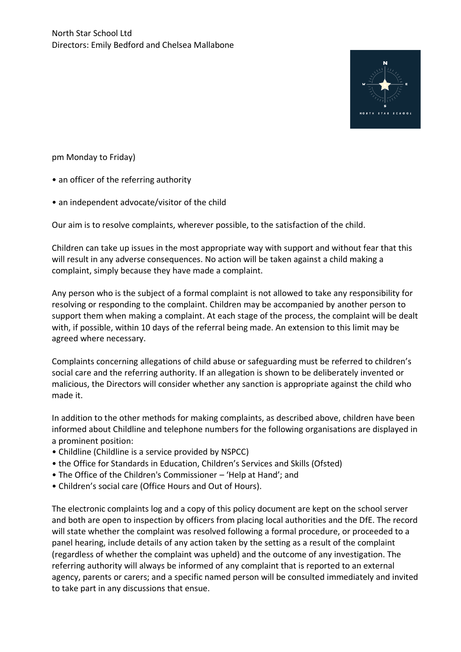

pm Monday to Friday)

- an officer of the referring authority
- an independent advocate/visitor of the child

Our aim is to resolve complaints, wherever possible, to the satisfaction of the child.

Children can take up issues in the most appropriate way with support and without fear that this will result in any adverse consequences. No action will be taken against a child making a complaint, simply because they have made a complaint.

Any person who is the subject of a formal complaint is not allowed to take any responsibility for resolving or responding to the complaint. Children may be accompanied by another person to support them when making a complaint. At each stage of the process, the complaint will be dealt with, if possible, within 10 days of the referral being made. An extension to this limit may be agreed where necessary.

Complaints concerning allegations of child abuse or safeguarding must be referred to children's social care and the referring authority. If an allegation is shown to be deliberately invented or malicious, the Directors will consider whether any sanction is appropriate against the child who made it.

In addition to the other methods for making complaints, as described above, children have been informed about Childline and telephone numbers for the following organisations are displayed in a prominent position:

- Childline (Childline is a service provided by NSPCC)
- the Office for Standards in Education, Children's Services and Skills (Ofsted)
- The Office of the Children's Commissioner 'Help at Hand'; and
- Children's social care (Office Hours and Out of Hours).

The electronic complaints log and a copy of this policy document are kept on the school server and both are open to inspection by officers from placing local authorities and the DfE. The record will state whether the complaint was resolved following a formal procedure, or proceeded to a panel hearing, include details of any action taken by the setting as a result of the complaint (regardless of whether the complaint was upheld) and the outcome of any investigation. The referring authority will always be informed of any complaint that is reported to an external agency, parents or carers; and a specific named person will be consulted immediately and invited to take part in any discussions that ensue.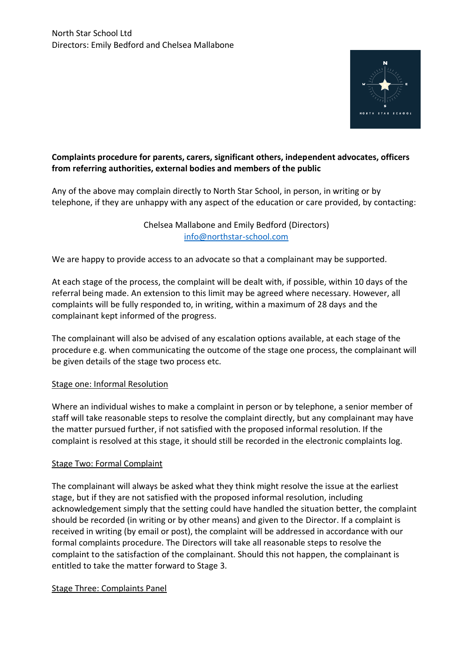

# **Complaints procedure for parents, carers, significant others, independent advocates, officers from referring authorities, external bodies and members of the public**

Any of the above may complain directly to North Star School, in person, in writing or by telephone, if they are unhappy with any aspect of the education or care provided, by contacting:

> Chelsea Mallabone and Emily Bedford (Directors) [info@northstar-school.com](mailto:info@northstar-school.com)

We are happy to provide access to an advocate so that a complainant may be supported.

At each stage of the process, the complaint will be dealt with, if possible, within 10 days of the referral being made. An extension to this limit may be agreed where necessary. However, all complaints will be fully responded to, in writing, within a maximum of 28 days and the complainant kept informed of the progress.

The complainant will also be advised of any escalation options available, at each stage of the procedure e.g. when communicating the outcome of the stage one process, the complainant will be given details of the stage two process etc.

## Stage one: Informal Resolution

Where an individual wishes to make a complaint in person or by telephone, a senior member of staff will take reasonable steps to resolve the complaint directly, but any complainant may have the matter pursued further, if not satisfied with the proposed informal resolution. If the complaint is resolved at this stage, it should still be recorded in the electronic complaints log.

#### Stage Two: Formal Complaint

The complainant will always be asked what they think might resolve the issue at the earliest stage, but if they are not satisfied with the proposed informal resolution, including acknowledgement simply that the setting could have handled the situation better, the complaint should be recorded (in writing or by other means) and given to the Director. If a complaint is received in writing (by email or post), the complaint will be addressed in accordance with our formal complaints procedure. The Directors will take all reasonable steps to resolve the complaint to the satisfaction of the complainant. Should this not happen, the complainant is entitled to take the matter forward to Stage 3.

## Stage Three: Complaints Panel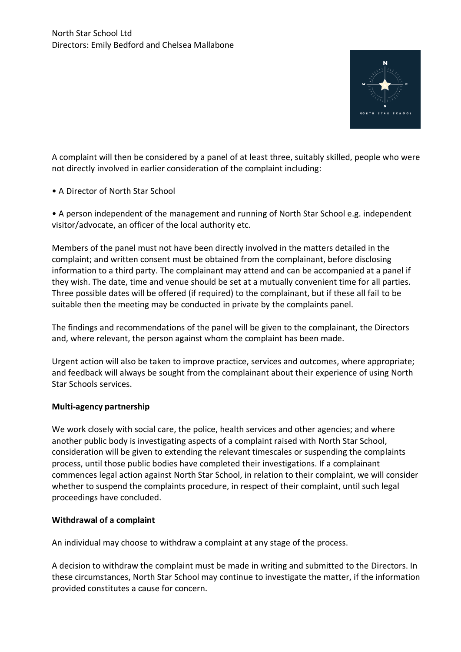

A complaint will then be considered by a panel of at least three, suitably skilled, people who were not directly involved in earlier consideration of the complaint including:

• A Director of North Star School

• A person independent of the management and running of North Star School e.g. independent visitor/advocate, an officer of the local authority etc.

Members of the panel must not have been directly involved in the matters detailed in the complaint; and written consent must be obtained from the complainant, before disclosing information to a third party. The complainant may attend and can be accompanied at a panel if they wish. The date, time and venue should be set at a mutually convenient time for all parties. Three possible dates will be offered (if required) to the complainant, but if these all fail to be suitable then the meeting may be conducted in private by the complaints panel.

The findings and recommendations of the panel will be given to the complainant, the Directors and, where relevant, the person against whom the complaint has been made.

Urgent action will also be taken to improve practice, services and outcomes, where appropriate; and feedback will always be sought from the complainant about their experience of using North Star Schools services.

#### **Multi-agency partnership**

We work closely with social care, the police, health services and other agencies; and where another public body is investigating aspects of a complaint raised with North Star School, consideration will be given to extending the relevant timescales or suspending the complaints process, until those public bodies have completed their investigations. If a complainant commences legal action against North Star School, in relation to their complaint, we will consider whether to suspend the complaints procedure, in respect of their complaint, until such legal proceedings have concluded.

#### **Withdrawal of a complaint**

An individual may choose to withdraw a complaint at any stage of the process.

A decision to withdraw the complaint must be made in writing and submitted to the Directors. In these circumstances, North Star School may continue to investigate the matter, if the information provided constitutes a cause for concern.